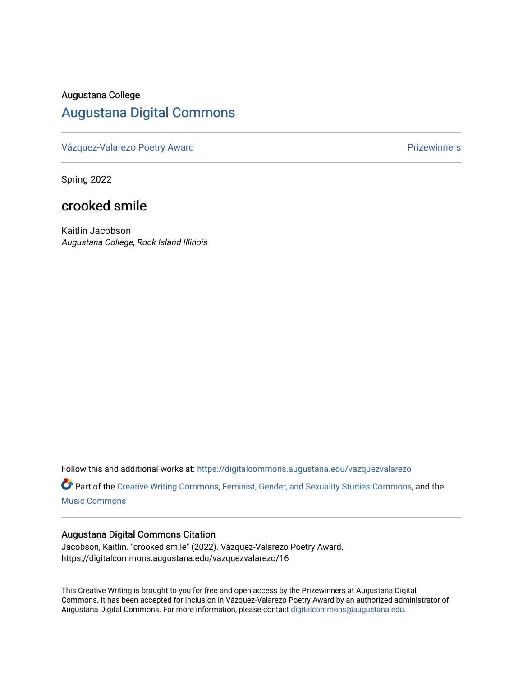### Augustana College

# [Augustana Digital Commons](https://digitalcommons.augustana.edu/)

[Vázquez-Valarezo Poetry Award](https://digitalcommons.augustana.edu/vazquezvalarezo) **Prizewinners** Prizewinners

Spring 2022

## crooked smile

Kaitlin Jacobson Augustana College, Rock Island Illinois

Follow this and additional works at: [https://digitalcommons.augustana.edu/vazquezvalarezo](https://digitalcommons.augustana.edu/vazquezvalarezo?utm_source=digitalcommons.augustana.edu%2Fvazquezvalarezo%2F17&utm_medium=PDF&utm_campaign=PDFCoverPages) 

Part of the [Creative Writing Commons](http://network.bepress.com/hgg/discipline/574?utm_source=digitalcommons.augustana.edu%2Fvazquezvalarezo%2F17&utm_medium=PDF&utm_campaign=PDFCoverPages), [Feminist, Gender, and Sexuality Studies Commons](http://network.bepress.com/hgg/discipline/559?utm_source=digitalcommons.augustana.edu%2Fvazquezvalarezo%2F17&utm_medium=PDF&utm_campaign=PDFCoverPages), and the [Music Commons](http://network.bepress.com/hgg/discipline/518?utm_source=digitalcommons.augustana.edu%2Fvazquezvalarezo%2F17&utm_medium=PDF&utm_campaign=PDFCoverPages) 

#### Augustana Digital Commons Citation

Jacobson, Kaitlin. "crooked smile" (2022). Vázquez-Valarezo Poetry Award. https://digitalcommons.augustana.edu/vazquezvalarezo/16

This Creative Writing is brought to you for free and open access by the Prizewinners at Augustana Digital Commons. It has been accepted for inclusion in Vázquez-Valarezo Poetry Award by an authorized administrator of Augustana Digital Commons. For more information, please contact [digitalcommons@augustana.edu](mailto:digitalcommons@augustana.edu).